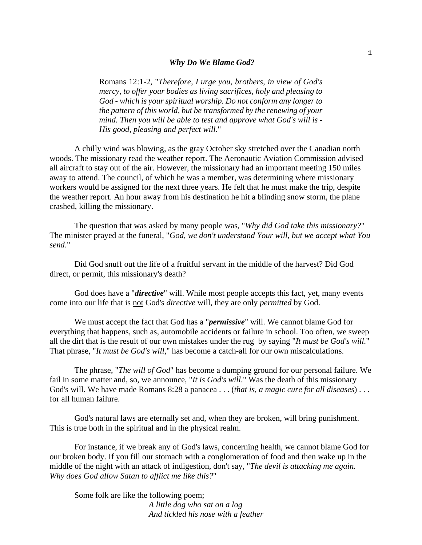## *Why Do We Blame God?*

Romans 12:1-2, "*Therefore, I urge you, brothers, in view of God's mercy, to offer your bodies as living sacrifices, holy and pleasing to God - which is your spiritual worship. Do not conform any longer to the pattern of this world, but be transformed by the renewing of your mind. Then you will be able to test and approve what God's will is - His good, pleasing and perfect will.*"

A chilly wind was blowing, as the gray October sky stretched over the Canadian north woods. The missionary read the weather report. The Aeronautic Aviation Commission advised all aircraft to stay out of the air. However, the missionary had an important meeting 150 miles away to attend. The council, of which he was a member, was determining where missionary workers would be assigned for the next three years. He felt that he must make the trip, despite the weather report. An hour away from his destination he hit a blinding snow storm, the plane crashed, killing the missionary.

The question that was asked by many people was, "*Why did God take this missionary?*" The minister prayed at the funeral, "*God, we don't understand Your will, but we accept what You send*."

Did God snuff out the life of a fruitful servant in the middle of the harvest? Did God direct, or permit, this missionary's death?

God does have a "*directive*" will. While most people accepts this fact, yet, many events come into our life that is not God's *directive* will, they are only *permitted* by God.

We must accept the fact that God has a "*permissive*" will. We cannot blame God for everything that happens, such as, automobile accidents or failure in school. Too often, we sweep all the dirt that is the result of our own mistakes under the rug by saying "*It must be God's will.*" That phrase, "*It must be God's will,*" has become a catch-all for our own miscalculations.

The phrase, "*The will of God*" has become a dumping ground for our personal failure. We fail in some matter and, so, we announce, "*It is God's will*." Was the death of this missionary God's will. We have made Romans 8:28 a panacea . . . (*that is, a magic cure for all diseases*) . . . for all human failure.

God's natural laws are eternally set and, when they are broken, will bring punishment. This is true both in the spiritual and in the physical realm.

For instance, if we break any of God's laws, concerning health, we cannot blame God for our broken body. If you fill our stomach with a conglomeration of food and then wake up in the middle of the night with an attack of indigestion, don't say, "*The devil is attacking me again. Why does God allow Satan to afflict me like this?*"

Some folk are like the following poem; *A little dog who sat on a log And tickled his nose with a feather*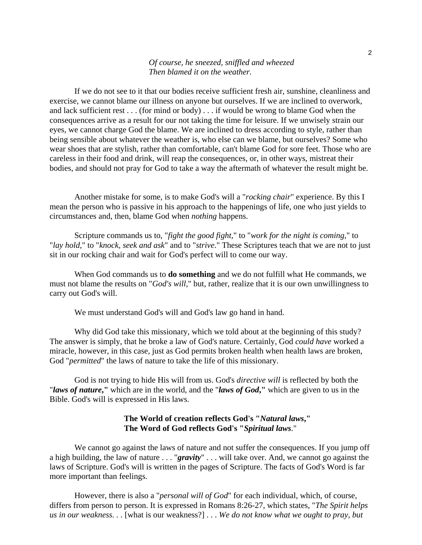## *Of course, he sneezed, sniffled and wheezed Then blamed it on the weather.*

If we do not see to it that our bodies receive sufficient fresh air, sunshine, cleanliness and exercise, we cannot blame our illness on anyone but ourselves. If we are inclined to overwork, and lack sufficient rest . . . (for mind or body) . . . if would be wrong to blame God when the consequences arrive as a result for our not taking the time for leisure. If we unwisely strain our eyes, we cannot charge God the blame. We are inclined to dress according to style, rather than being sensible about whatever the weather is, who else can we blame, but ourselves? Some who wear shoes that are stylish, rather than comfortable, can't blame God for sore feet. Those who are careless in their food and drink, will reap the consequences, or, in other ways, mistreat their bodies, and should not pray for God to take a way the aftermath of whatever the result might be.

Another mistake for some, is to make God's will a "*rocking chair*" experience. By this I mean the person who is passive in his approach to the happenings of life, one who just yields to circumstances and, then, blame God when *nothing* happens.

Scripture commands us to, "*fight the good fight*," to "*work for the night is coming*," to "*lay hold*," to "*knock, seek and ask*" and to "*strive*." These Scriptures teach that we are not to just sit in our rocking chair and wait for God's perfect will to come our way.

When God commands us to **do something** and we do not fulfill what He commands, we must not blame the results on "*God's will*," but, rather, realize that it is our own unwillingness to carry out God's will.

We must understand God's will and God's law go hand in hand.

Why did God take this missionary, which we told about at the beginning of this study? The answer is simply, that he broke a law of God's nature. Certainly, God *could have* worked a miracle, however, in this case, just as God permits broken health when health laws are broken, God "*permitted*" the laws of nature to take the life of this missionary.

God is not trying to hide His will from us. God's *directive will* is reflected by both the "*laws of nature***,"** which are in the world, and the "*laws of God***,"** which are given to us in the Bible. God's will is expressed in His laws.

## **The World of creation reflects God's "***Natural laws***," The Word of God reflects God's "***Spiritual laws*."

We cannot go against the laws of nature and not suffer the consequences. If you jump off a high building, the law of nature . . . "*gravity*" . . . will take over. And, we cannot go against the laws of Scripture. God's will is written in the pages of Scripture. The facts of God's Word is far more important than feelings.

However, there is also a "*personal will of God*" for each individual, which, of course, differs from person to person. It is expressed in Romans 8:26-27, which states, "*The Spirit helps us in our weakness. . .* [what is our weakness?] . . . *We do not know what we ought to pray, but*